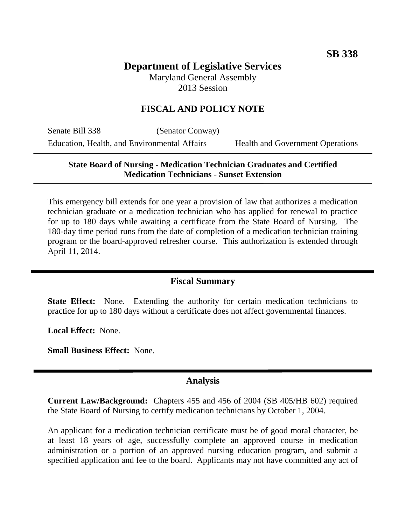# **Department of Legislative Services** Maryland General Assembly

2013 Session

# **FISCAL AND POLICY NOTE**

Senate Bill 338 (Senator Conway) Education, Health, and Environmental Affairs Health and Government Operations

### **State Board of Nursing - Medication Technician Graduates and Certified Medication Technicians - Sunset Extension**

This emergency bill extends for one year a provision of law that authorizes a medication technician graduate or a medication technician who has applied for renewal to practice for up to 180 days while awaiting a certificate from the State Board of Nursing. The 180-day time period runs from the date of completion of a medication technician training program or the board-approved refresher course. This authorization is extended through April 11, 2014.

#### **Fiscal Summary**

**State Effect:** None. Extending the authority for certain medication technicians to practice for up to 180 days without a certificate does not affect governmental finances.

**Local Effect:** None.

**Small Business Effect:** None.

# **Analysis**

**Current Law/Background:** Chapters 455 and 456 of 2004 (SB 405/HB 602) required the State Board of Nursing to certify medication technicians by October 1, 2004.

An applicant for a medication technician certificate must be of good moral character, be at least 18 years of age, successfully complete an approved course in medication administration or a portion of an approved nursing education program, and submit a specified application and fee to the board. Applicants may not have committed any act of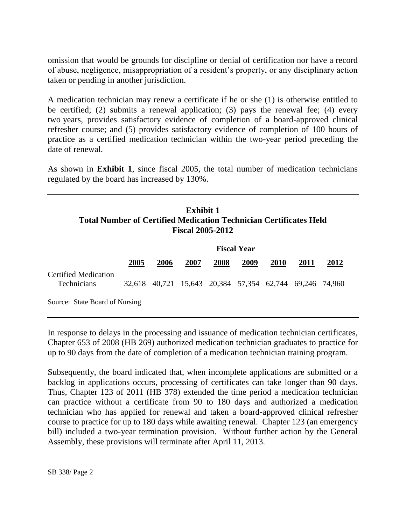omission that would be grounds for discipline or denial of certification nor have a record of abuse, negligence, misappropriation of a resident's property, or any disciplinary action taken or pending in another jurisdiction.

A medication technician may renew a certificate if he or she (1) is otherwise entitled to be certified; (2) submits a renewal application; (3) pays the renewal fee; (4) every two years, provides satisfactory evidence of completion of a board-approved clinical refresher course; and (5) provides satisfactory evidence of completion of 100 hours of practice as a certified medication technician within the two-year period preceding the date of renewal.

As shown in **Exhibit 1**, since fiscal 2005, the total number of medication technicians regulated by the board has increased by 130%.

# **Exhibit 1 Total Number of Certified Medication Technician Certificates Held Fiscal 2005-2012**

|                                     | <b>Fiscal Year</b> |      |                                                         |      |      |             |      |             |
|-------------------------------------|--------------------|------|---------------------------------------------------------|------|------|-------------|------|-------------|
|                                     | 2005               | 2006 | 2007                                                    | 2008 | 2009 | <b>2010</b> | 2011 | <u>2012</u> |
| Certified Medication<br>Technicians |                    |      | 32,618 40,721 15,643 20,384 57,354 62,744 69,246 74,960 |      |      |             |      |             |
| Source: State Board of Nursing      |                    |      |                                                         |      |      |             |      |             |

In response to delays in the processing and issuance of medication technician certificates, Chapter 653 of 2008 (HB 269) authorized medication technician graduates to practice for up to 90 days from the date of completion of a medication technician training program.

Subsequently, the board indicated that, when incomplete applications are submitted or a backlog in applications occurs, processing of certificates can take longer than 90 days. Thus, Chapter 123 of 2011 (HB 378) extended the time period a medication technician can practice without a certificate from 90 to 180 days and authorized a medication technician who has applied for renewal and taken a board-approved clinical refresher course to practice for up to 180 days while awaiting renewal. Chapter 123 (an emergency bill) included a two-year termination provision. Without further action by the General Assembly, these provisions will terminate after April 11, 2013.